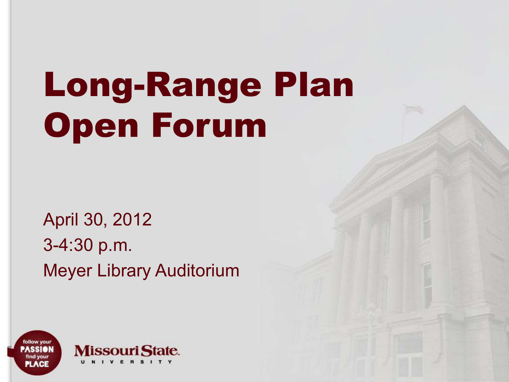# Long-Range Plan Open Forum

April 30, 2012 3-4:30 p.m. Meyer Library Auditorium

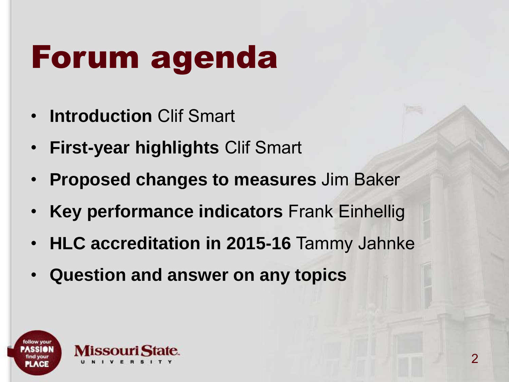## Forum agenda

- **Introduction** Clif Smart
- **First-year highlights** Clif Smart
- **Proposed changes to measures** Jim Baker
- **Key performance indicators** Frank Einhellig
- **HLC accreditation in 2015-16** Tammy Jahnke
- **Question and answer on any topics**

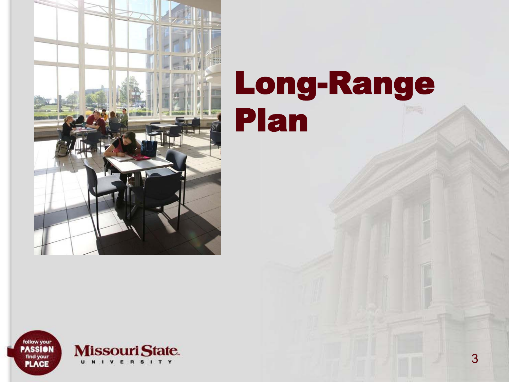

#### Long-Range Plan

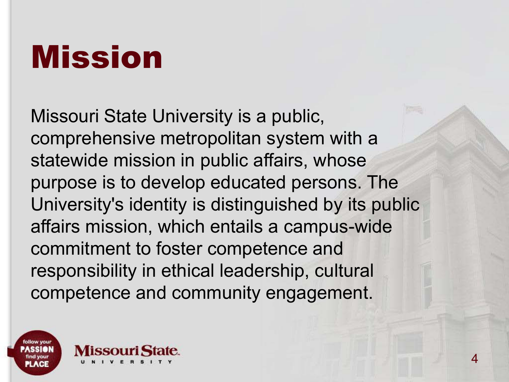#### Mission

Missouri State University is a public, comprehensive metropolitan system with a statewide mission in public affairs, whose purpose is to develop educated persons. The University's identity is distinguished by its public affairs mission, which entails a campus-wide commitment to foster competence and responsibility in ethical leadership, cultural competence and community engagement.

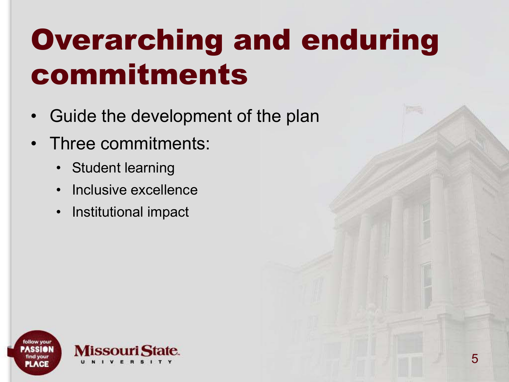#### Overarching and enduring commitments

- Guide the development of the plan
- Three commitments:
	- Student learning
	- Inclusive excellence
	- Institutional impact

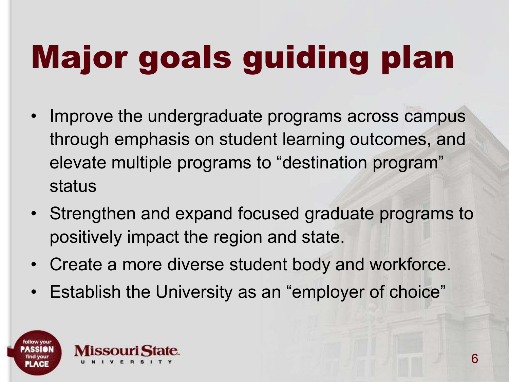# Major goals guiding plan

- Improve the undergraduate programs across campus through emphasis on student learning outcomes, and elevate multiple programs to "destination program" status
- Strengthen and expand focused graduate programs to positively impact the region and state.
- Create a more diverse student body and workforce.
- Establish the University as an "employer of choice"

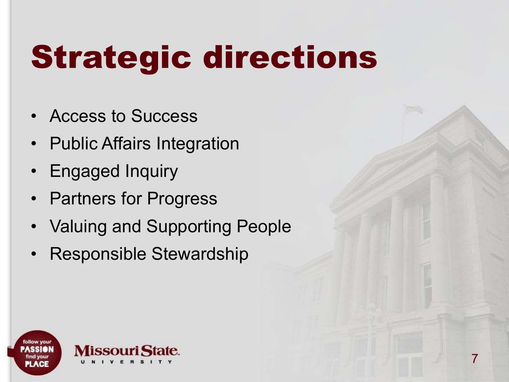# Strategic directions

- Access to Success
- Public Affairs Integration
- Engaged Inquiry
- Partners for Progress
- **Valuing and Supporting People**
- Responsible Stewardship

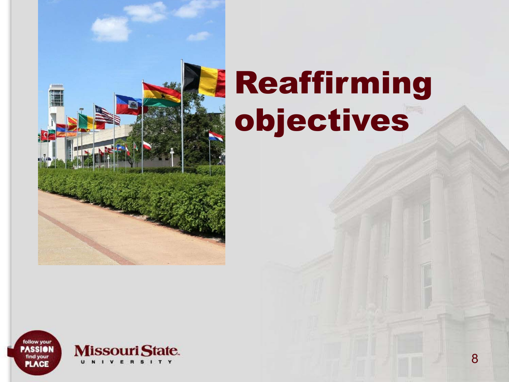

## Reaffirming objectives

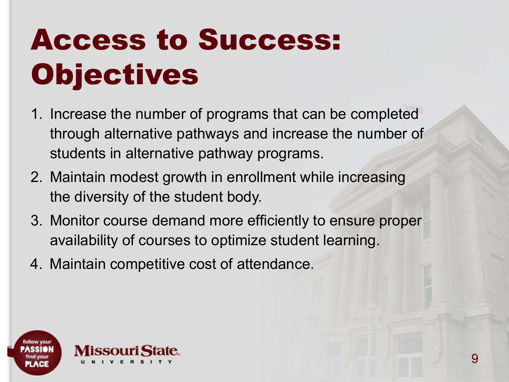### Access to Success: **Objectives**

- 1. Increase the number of programs that can be completed through alternative pathways and increase the number of students in alternative pathway programs.
- 2. Maintain modest growth in enrollment while increasing the diversity of the student body.
- 3. Monitor course demand more efficiently to ensure proper availability of courses to optimize student learning.
- 4. Maintain competitive cost of attendance.

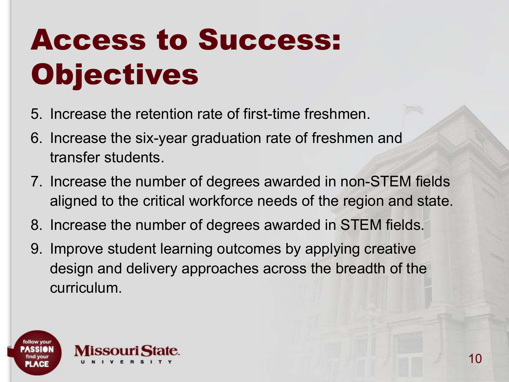#### Access to Success: **Objectives**

- 5. Increase the retention rate of first-time freshmen.
- 6. Increase the six-year graduation rate of freshmen and transfer students.
- 7. Increase the number of degrees awarded in non-STEM fields aligned to the critical workforce needs of the region and state.
- 8. Increase the number of degrees awarded in STEM fields.
- 9. Improve student learning outcomes by applying creative design and delivery approaches across the breadth of the curriculum.

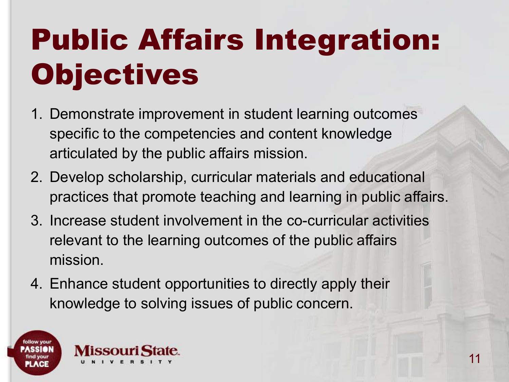### Public Affairs Integration: **Objectives**

- 1. Demonstrate improvement in student learning outcomes specific to the competencies and content knowledge articulated by the public affairs mission.
- 2. Develop scholarship, curricular materials and educational practices that promote teaching and learning in public affairs.
- 3. Increase student involvement in the co-curricular activities relevant to the learning outcomes of the public affairs mission.
- 4. Enhance student opportunities to directly apply their knowledge to solving issues of public concern.

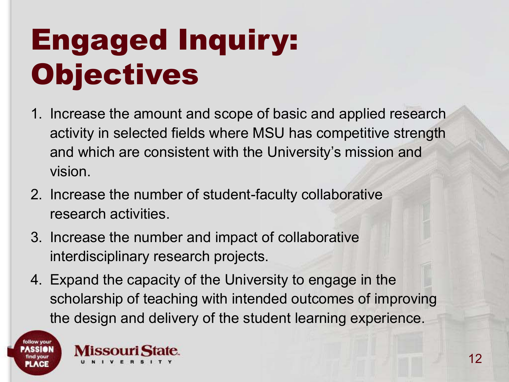#### Engaged Inquiry: **Objectives**

- 1. Increase the amount and scope of basic and applied research activity in selected fields where MSU has competitive strength and which are consistent with the University's mission and vision.
- 2. Increase the number of student-faculty collaborative research activities.
- 3. Increase the number and impact of collaborative interdisciplinary research projects.
- 4. Expand the capacity of the University to engage in the scholarship of teaching with intended outcomes of improving the design and delivery of the student learning experience.



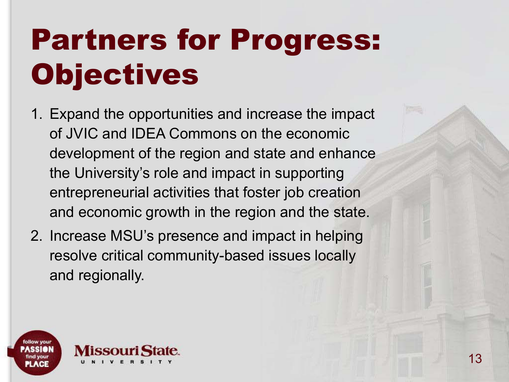### Partners for Progress: **Objectives**

- 1. Expand the opportunities and increase the impact of JVIC and IDEA Commons on the economic development of the region and state and enhance the University's role and impact in supporting entrepreneurial activities that foster job creation and economic growth in the region and the state.
- 2. Increase MSU's presence and impact in helping resolve critical community-based issues locally and regionally.

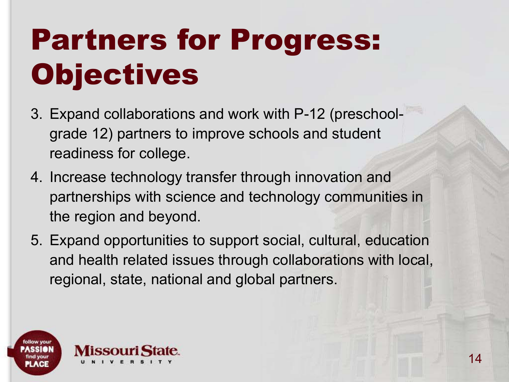#### Partners for Progress: **Objectives**

- 3. Expand collaborations and work with P-12 (preschoolgrade 12) partners to improve schools and student readiness for college.
- 4. Increase technology transfer through innovation and partnerships with science and technology communities in the region and beyond.
- 5. Expand opportunities to support social, cultural, education and health related issues through collaborations with local, regional, state, national and global partners.

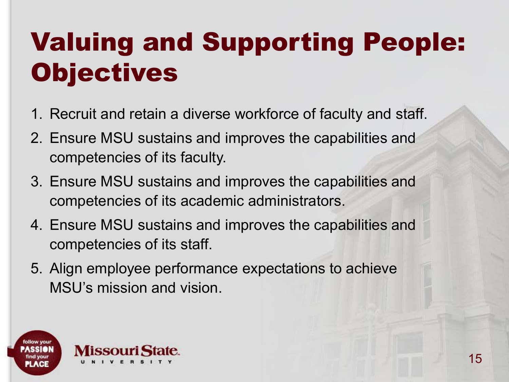#### Valuing and Supporting People: **Objectives**

- 1. Recruit and retain a diverse workforce of faculty and staff.
- 2. Ensure MSU sustains and improves the capabilities and competencies of its faculty.
- 3. Ensure MSU sustains and improves the capabilities and competencies of its academic administrators.
- 4. Ensure MSU sustains and improves the capabilities and competencies of its staff.
- 5. Align employee performance expectations to achieve MSU's mission and vision.

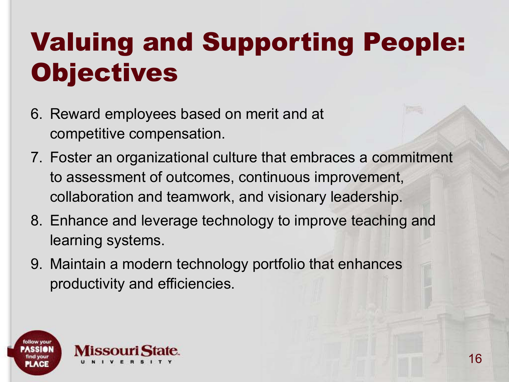#### Valuing and Supporting People: **Objectives**

- 6. Reward employees based on merit and at competitive compensation.
- 7. Foster an organizational culture that embraces a commitment to assessment of outcomes, continuous improvement, collaboration and teamwork, and visionary leadership.
- 8. Enhance and leverage technology to improve teaching and learning systems.
- 9. Maintain a modern technology portfolio that enhances productivity and efficiencies.

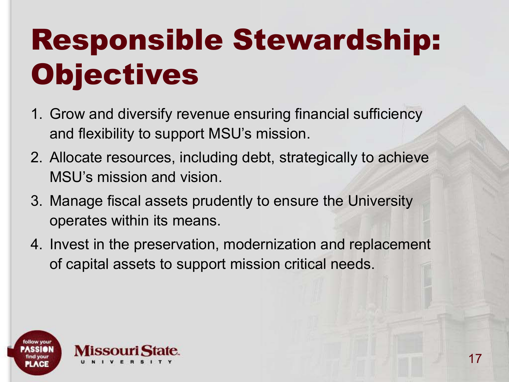### Responsible Stewardship: **Objectives**

- 1. Grow and diversify revenue ensuring financial sufficiency and flexibility to support MSU's mission.
- 2. Allocate resources, including debt, strategically to achieve MSU's mission and vision.
- 3. Manage fiscal assets prudently to ensure the University operates within its means.
- 4. Invest in the preservation, modernization and replacement of capital assets to support mission critical needs.

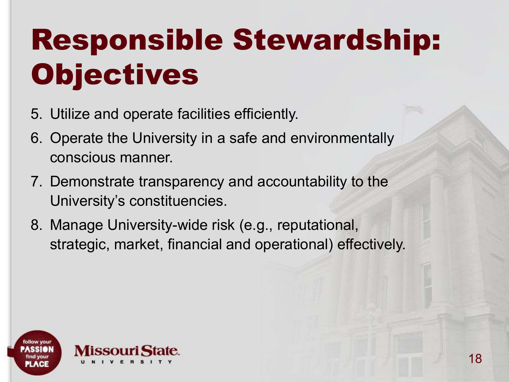### Responsible Stewardship: Objectives

- 5. Utilize and operate facilities efficiently.
- 6. Operate the University in a safe and environmentally conscious manner.
- 7. Demonstrate transparency and accountability to the University's constituencies.
- 8. Manage University-wide risk (e.g., reputational, strategic, market, financial and operational) effectively.

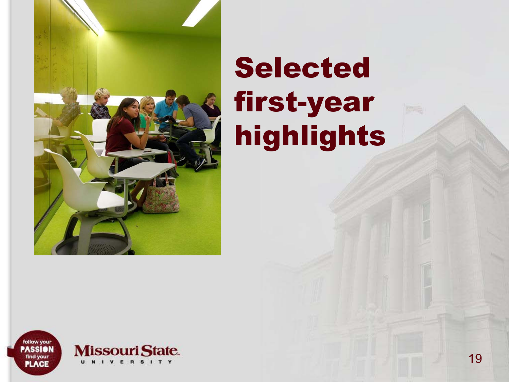

#### Selected first-year highlights

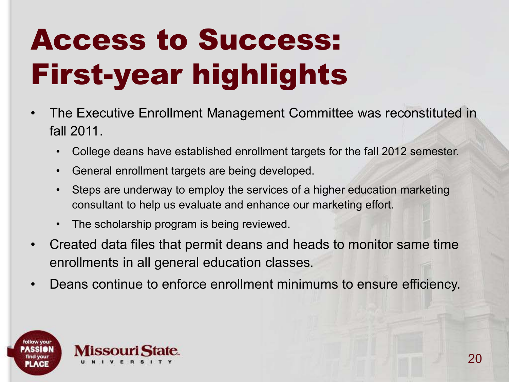- The Executive Enrollment Management Committee was reconstituted in fall 2011.
	- College deans have established enrollment targets for the fall 2012 semester.
	- General enrollment targets are being developed.
	- Steps are underway to employ the services of a higher education marketing consultant to help us evaluate and enhance our marketing effort.
	- The scholarship program is being reviewed.
- Created data files that permit deans and heads to monitor same time enrollments in all general education classes.
- Deans continue to enforce enrollment minimums to ensure efficiency.

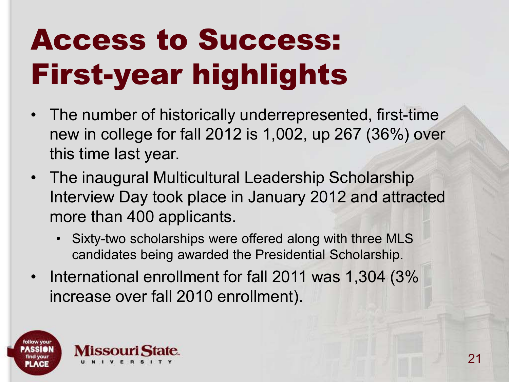- The number of historically underrepresented, first-time new in college for fall 2012 is 1,002, up 267 (36%) over this time last year.
- The inaugural Multicultural Leadership Scholarship Interview Day took place in January 2012 and attracted more than 400 applicants.
	- Sixty-two scholarships were offered along with three MLS candidates being awarded the Presidential Scholarship.
- International enrollment for fall 2011 was 1,304 (3% increase over fall 2010 enrollment).

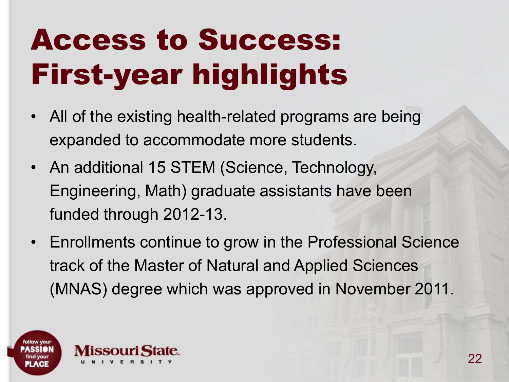- All of the existing health-related programs are being expanded to accommodate more students.
- An additional 15 STEM (Science, Technology, Engineering, Math) graduate assistants have been funded through 2012-13.
- Enrollments continue to grow in the Professional Science track of the Master of Natural and Applied Sciences (MNAS) degree which was approved in November 2011.

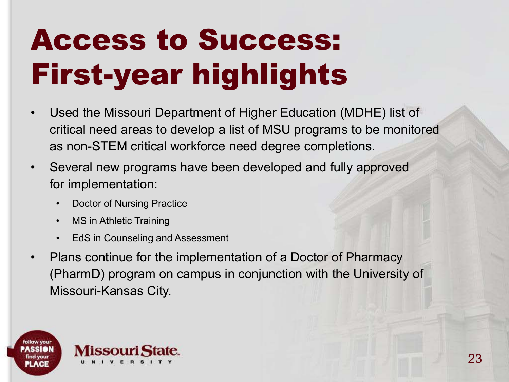- Used the Missouri Department of Higher Education (MDHE) list of critical need areas to develop a list of MSU programs to be monitored as non-STEM critical workforce need degree completions.
- Several new programs have been developed and fully approved for implementation:
	- Doctor of Nursing Practice
	- MS in Athletic Training
	- EdS in Counseling and Assessment
- Plans continue for the implementation of a Doctor of Pharmacy (PharmD) program on campus in conjunction with the University of Missouri-Kansas City.

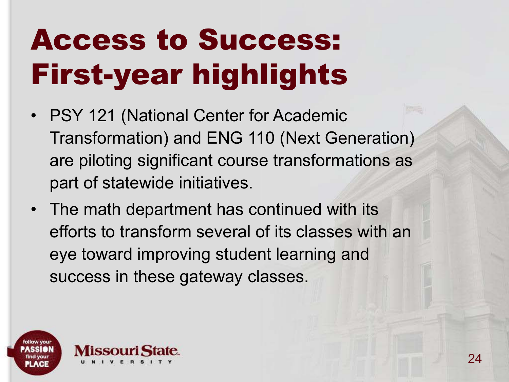- PSY 121 (National Center for Academic Transformation) and ENG 110 (Next Generation) are piloting significant course transformations as part of statewide initiatives.
- The math department has continued with its efforts to transform several of its classes with an eye toward improving student learning and success in these gateway classes.

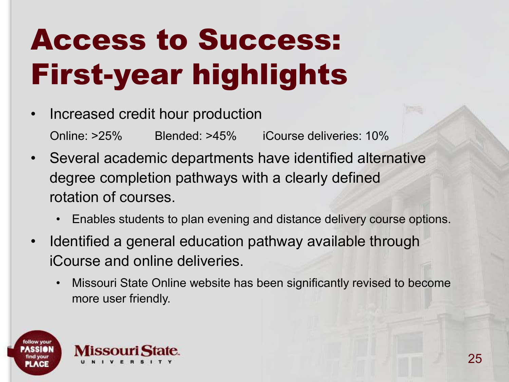- Increased credit hour production Online: >25% Blended: >45% iCourse deliveries: 10%
- Several academic departments have identified alternative degree completion pathways with a clearly defined rotation of courses.
	- Enables students to plan evening and distance delivery course options.
- Identified a general education pathway available through iCourse and online deliveries.
	- Missouri State Online website has been significantly revised to become more user friendly.

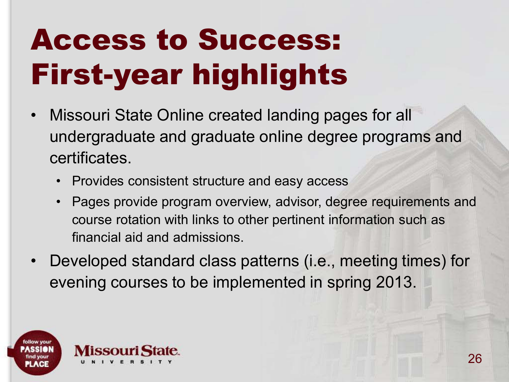- Missouri State Online created landing pages for all undergraduate and graduate online degree programs and certificates.
	- Provides consistent structure and easy access
	- Pages provide program overview, advisor, degree requirements and course rotation with links to other pertinent information such as financial aid and admissions.
- Developed standard class patterns (i.e., meeting times) for evening courses to be implemented in spring 2013.

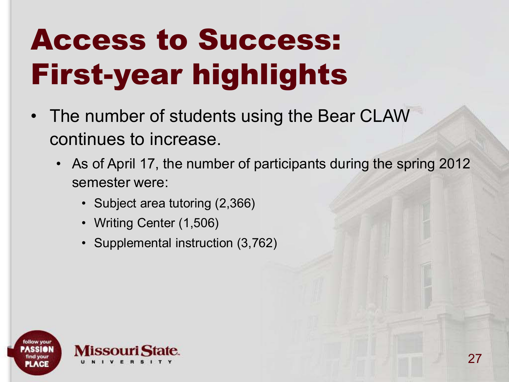- The number of students using the Bear CLAW continues to increase.
	- As of April 17, the number of participants during the spring 2012 semester were:
		- Subject area tutoring (2,366)
		- Writing Center (1,506)
		- Supplemental instruction (3,762)

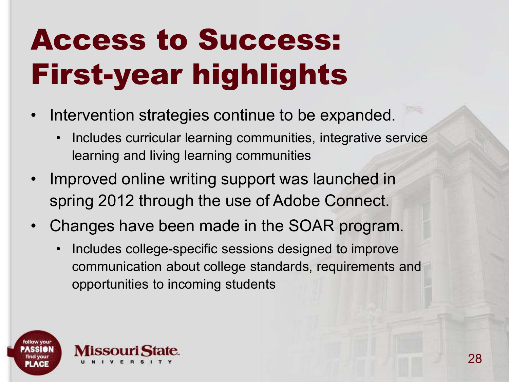- Intervention strategies continue to be expanded.
	- Includes curricular learning communities, integrative service learning and living learning communities
- Improved online writing support was launched in spring 2012 through the use of Adobe Connect.
- Changes have been made in the SOAR program.
	- Includes college-specific sessions designed to improve communication about college standards, requirements and opportunities to incoming students

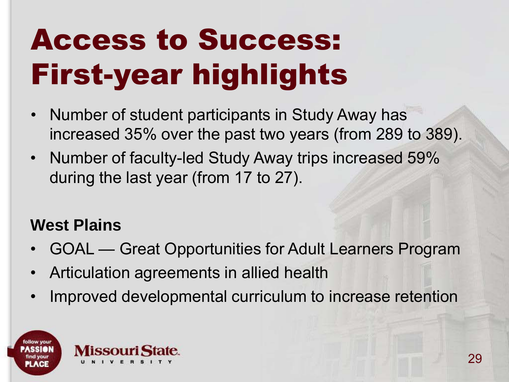- Number of student participants in Study Away has increased 35% over the past two years (from 289 to 389).
- Number of faculty-led Study Away trips increased 59% during the last year (from 17 to 27).

#### **West Plains**

- GOAL Great Opportunities for Adult Learners Program
- Articulation agreements in allied health
- Improved developmental curriculum to increase retention

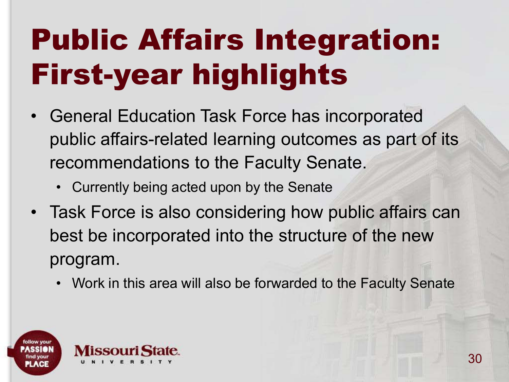### Public Affairs Integration: First-year highlights

- General Education Task Force has incorporated public affairs-related learning outcomes as part of its recommendations to the Faculty Senate.
	- Currently being acted upon by the Senate
- Task Force is also considering how public affairs can best be incorporated into the structure of the new program.
	- Work in this area will also be forwarded to the Faculty Senate

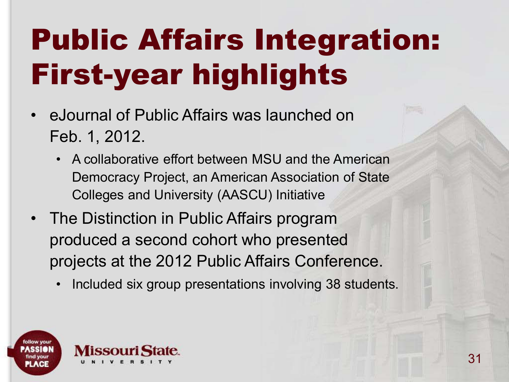#### Public Affairs Integration: First-year highlights

- eJournal of Public Affairs was launched on Feb. 1, 2012.
	- A collaborative effort between MSU and the American Democracy Project, an American Association of State Colleges and University (AASCU) Initiative
- The Distinction in Public Affairs program produced a second cohort who presented projects at the 2012 Public Affairs Conference.
	- Included six group presentations involving 38 students.

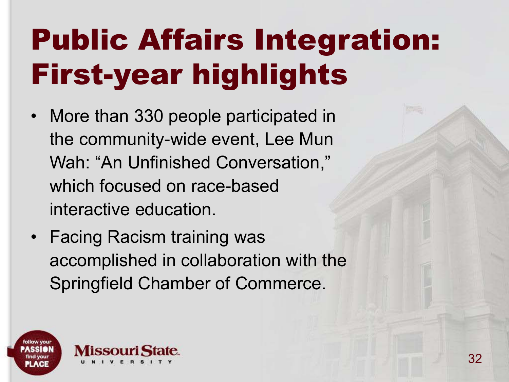#### Public Affairs Integration: First-year highlights

- More than 330 people participated in the community-wide event, Lee Mun Wah: "An Unfinished Conversation," which focused on race-based interactive education.
- Facing Racism training was accomplished in collaboration with the Springfield Chamber of Commerce.

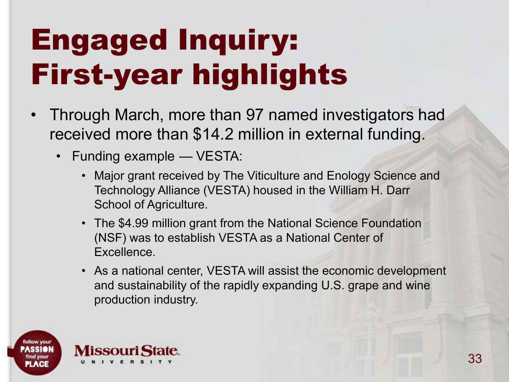#### Engaged Inquiry: First-year highlights

- Through March, more than 97 named investigators had received more than \$14.2 million in external funding.
	- Funding example VESTA:
		- Major grant received by The Viticulture and Enology Science and Technology Alliance (VESTA) housed in the William H. Darr School of Agriculture.
		- The \$4.99 million grant from the National Science Foundation (NSF) was to establish VESTA as a National Center of Excellence.
		- As a national center, VESTA will assist the economic development and sustainability of the rapidly expanding U.S. grape and wine production industry.

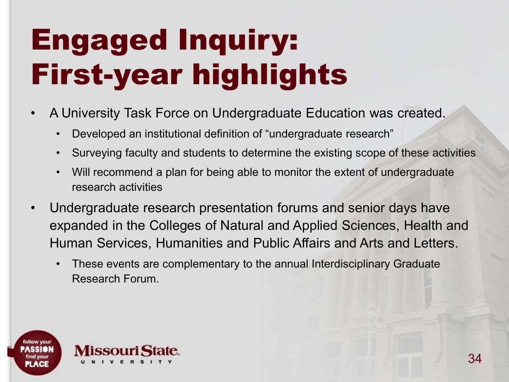#### Engaged Inquiry: First-year highlights

- A University Task Force on Undergraduate Education was created.
	- Developed an institutional definition of "undergraduate research"
	- Surveying faculty and students to determine the existing scope of these activities
	- Will recommend a plan for being able to monitor the extent of undergraduate research activities
- Undergraduate research presentation forums and senior days have expanded in the Colleges of Natural and Applied Sciences, Health and Human Services, Humanities and Public Affairs and Arts and Letters.
	- These events are complementary to the annual Interdisciplinary Graduate Research Forum.

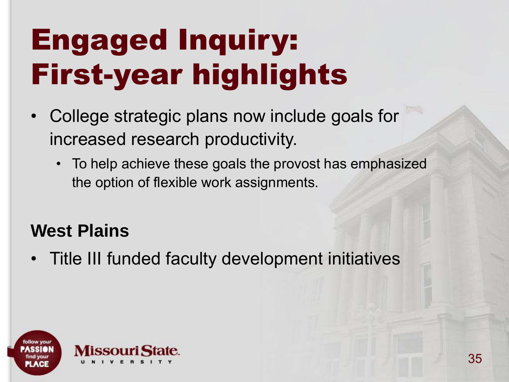#### Engaged Inquiry: First-year highlights

- College strategic plans now include goals for increased research productivity.
	- To help achieve these goals the provost has emphasized the option of flexible work assignments.

#### **West Plains**

• Title III funded faculty development initiatives

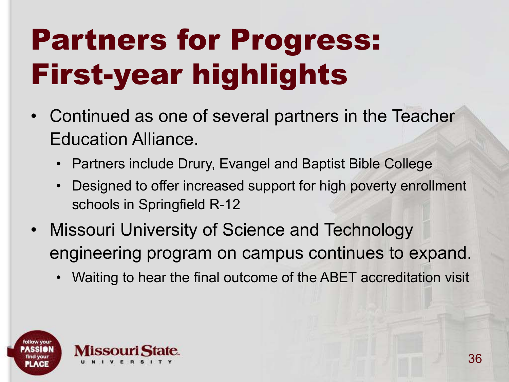#### Partners for Progress: First-year highlights

- Continued as one of several partners in the Teacher Education Alliance.
	- Partners include Drury, Evangel and Baptist Bible College
	- Designed to offer increased support for high poverty enrollment schools in Springfield R-12
- Missouri University of Science and Technology engineering program on campus continues to expand.
	- Waiting to hear the final outcome of the ABET accreditation visit

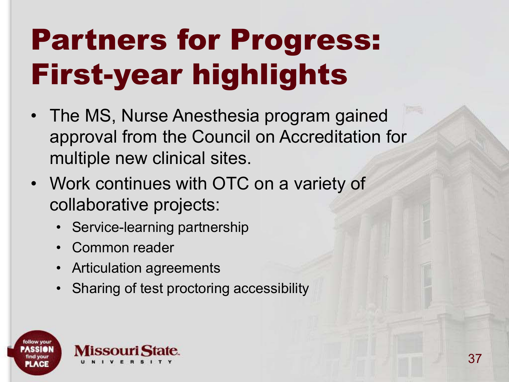### Partners for Progress: First-year highlights

- The MS, Nurse Anesthesia program gained approval from the Council on Accreditation for multiple new clinical sites.
- Work continues with OTC on a variety of collaborative projects:
	- Service-learning partnership
	- Common reader
	- Articulation agreements
	- Sharing of test proctoring accessibility

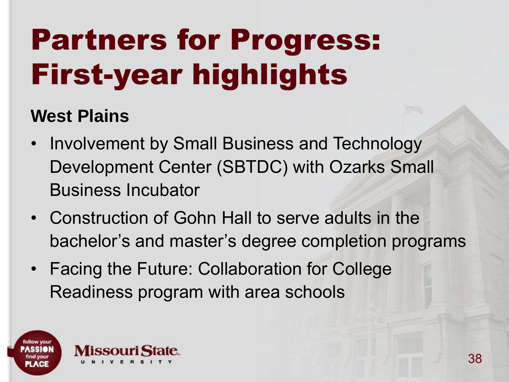### Partners for Progress: First-year highlights

#### **West Plains**

- Involvement by Small Business and Technology Development Center (SBTDC) with Ozarks Small Business Incubator
- Construction of Gohn Hall to serve adults in the bachelor's and master's degree completion programs
- Facing the Future: Collaboration for College Readiness program with area schools

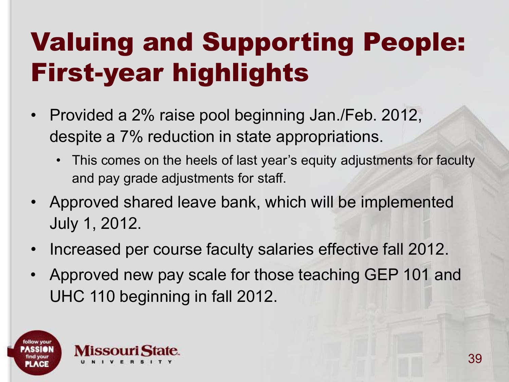- Provided a 2% raise pool beginning Jan./Feb. 2012, despite a 7% reduction in state appropriations.
	- This comes on the heels of last year's equity adjustments for faculty and pay grade adjustments for staff.
- Approved shared leave bank, which will be implemented July 1, 2012.
- Increased per course faculty salaries effective fall 2012.
- Approved new pay scale for those teaching GEP 101 and UHC 110 beginning in fall 2012.

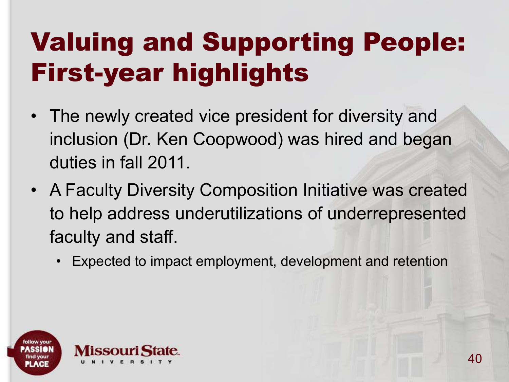- The newly created vice president for diversity and inclusion (Dr. Ken Coopwood) was hired and began duties in fall 2011.
- A Faculty Diversity Composition Initiative was created to help address underutilizations of underrepresented faculty and staff.
	- Expected to impact employment, development and retention

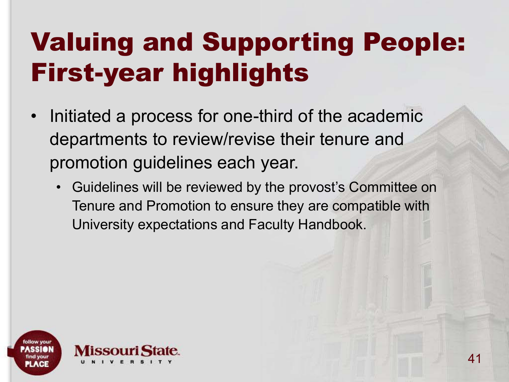- Initiated a process for one-third of the academic departments to review/revise their tenure and promotion guidelines each year.
	- Guidelines will be reviewed by the provost's Committee on Tenure and Promotion to ensure they are compatible with University expectations and Faculty Handbook.

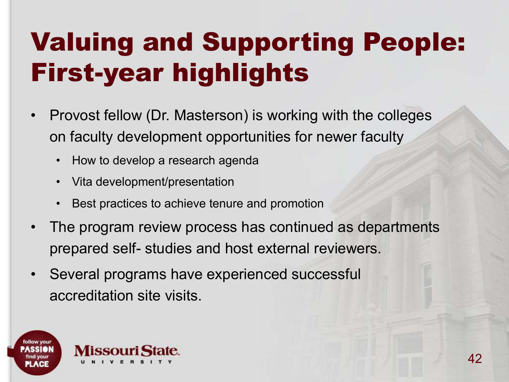- Provost fellow (Dr. Masterson) is working with the colleges on faculty development opportunities for newer faculty
	- How to develop a research agenda
	- Vita development/presentation
	- Best practices to achieve tenure and promotion
- The program review process has continued as departments prepared self- studies and host external reviewers.
- Several programs have experienced successful accreditation site visits.

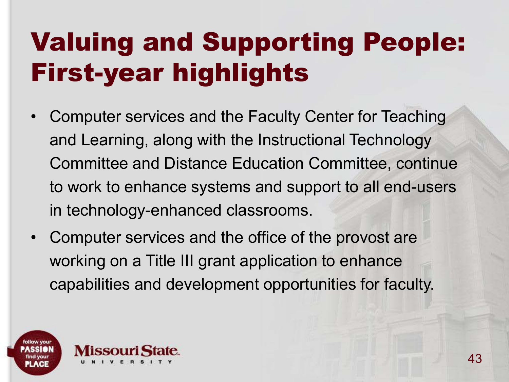- Computer services and the Faculty Center for Teaching and Learning, along with the Instructional Technology Committee and Distance Education Committee, continue to work to enhance systems and support to all end-users in technology-enhanced classrooms.
- Computer services and the office of the provost are working on a Title III grant application to enhance capabilities and development opportunities for faculty.

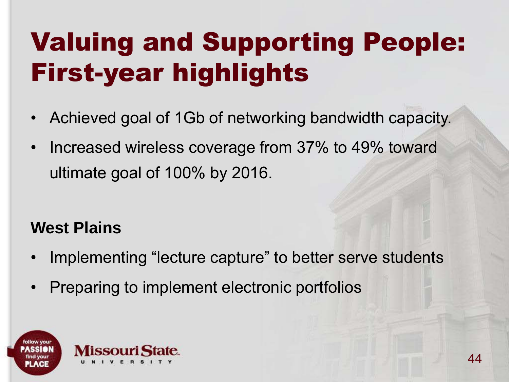- Achieved goal of 1Gb of networking bandwidth capacity.
- Increased wireless coverage from 37% to 49% toward ultimate goal of 100% by 2016.

#### **West Plains**

- Implementing "lecture capture" to better serve students
- Preparing to implement electronic portfolios

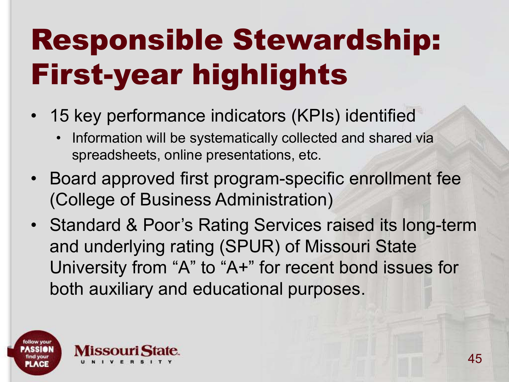### Responsible Stewardship: First-year highlights

- 15 key performance indicators (KPIs) identified
	- Information will be systematically collected and shared via spreadsheets, online presentations, etc.
- Board approved first program-specific enrollment fee (College of Business Administration)
- Standard & Poor's Rating Services raised its long-term and underlying rating (SPUR) of Missouri State University from "A" to "A+" for recent bond issues for both auxiliary and educational purposes.

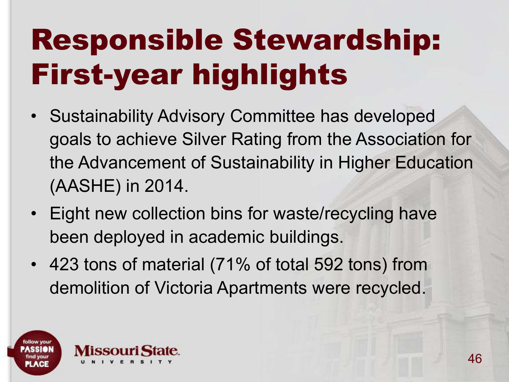### Responsible Stewardship: First-year highlights

- Sustainability Advisory Committee has developed goals to achieve Silver Rating from the Association for the Advancement of Sustainability in Higher Education (AASHE) in 2014.
- Eight new collection bins for waste/recycling have been deployed in academic buildings.
- 423 tons of material (71% of total 592 tons) from demolition of Victoria Apartments were recycled.

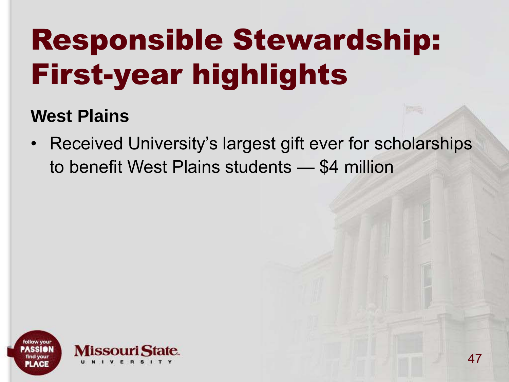### Responsible Stewardship: First-year highlights

#### **West Plains**

• Received University's largest gift ever for scholarships to benefit West Plains students — \$4 million

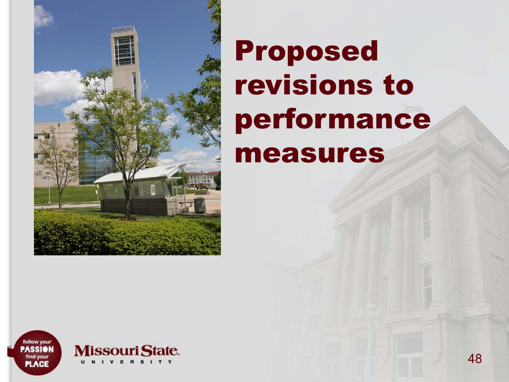

#### Proposed revisions to performance measures

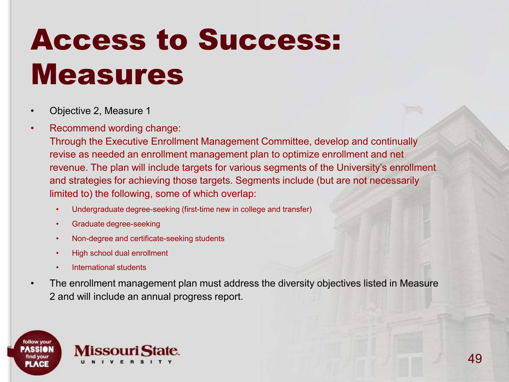- Objective 2, Measure 1
- Recommend wording change:

Through the Executive Enrollment Management Committee, develop and continually revise as needed an enrollment management plan to optimize enrollment and net revenue. The plan will include targets for various segments of the University's enrollment and strategies for achieving those targets. Segments include (but are not necessarily limited to) the following, some of which overlap:

- Undergraduate degree-seeking (first-time new in college and transfer)
- Graduate degree-seeking
- Non-degree and certificate-seeking students
- High school dual enrollment
- International students
- The enrollment management plan must address the diversity objectives listed in Measure 2 and will include an annual progress report.

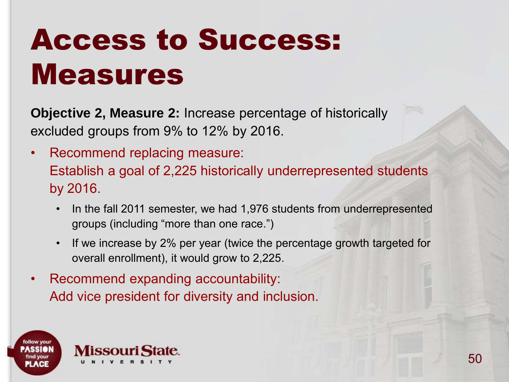**Objective 2, Measure 2:** Increase percentage of historically excluded groups from 9% to 12% by 2016.

- Recommend replacing measure: Establish a goal of 2,225 historically underrepresented students by 2016.
	- In the fall 2011 semester, we had 1,976 students from underrepresented groups (including "more than one race.")
	- If we increase by 2% per year (twice the percentage growth targeted for overall enrollment), it would grow to 2,225.
- Recommend expanding accountability: Add vice president for diversity and inclusion.

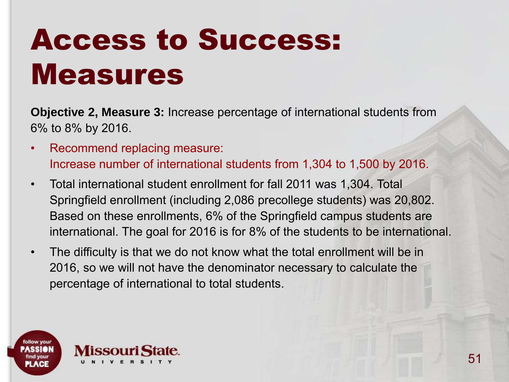**Objective 2, Measure 3:** Increase percentage of international students from 6% to 8% by 2016.

- Recommend replacing measure: Increase number of international students from 1,304 to 1,500 by 2016.
- Total international student enrollment for fall 2011 was 1,304. Total Springfield enrollment (including 2,086 precollege students) was 20,802. Based on these enrollments, 6% of the Springfield campus students are international. The goal for 2016 is for 8% of the students to be international.
- The difficulty is that we do not know what the total enrollment will be in 2016, so we will not have the denominator necessary to calculate the percentage of international to total students.

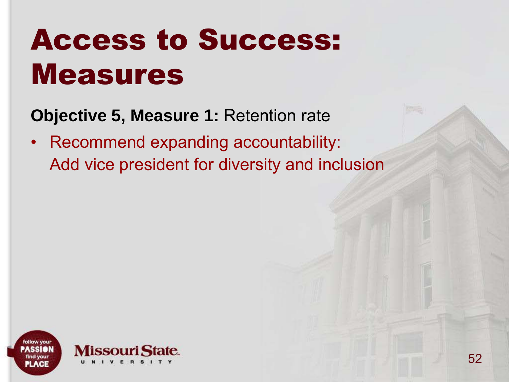**Objective 5, Measure 1:** Retention rate

• Recommend expanding accountability: Add vice president for diversity and inclusion

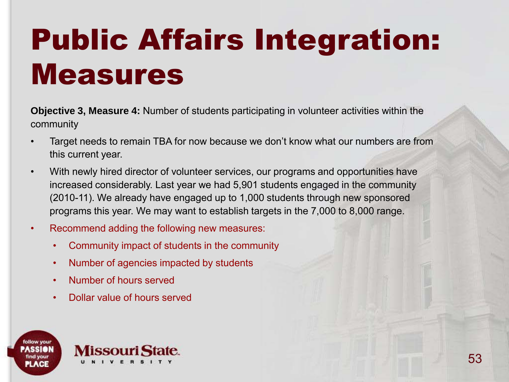### Public Affairs Integration: Measures

**Objective 3, Measure 4:** Number of students participating in volunteer activities within the community

- Target needs to remain TBA for now because we don't know what our numbers are from this current year.
- With newly hired director of volunteer services, our programs and opportunities have increased considerably. Last year we had 5,901 students engaged in the community (2010-11). We already have engaged up to 1,000 students through new sponsored programs this year. We may want to establish targets in the 7,000 to 8,000 range.
- Recommend adding the following new measures:
	- Community impact of students in the community
	- Number of agencies impacted by students
	- Number of hours served
	- Dollar value of hours served

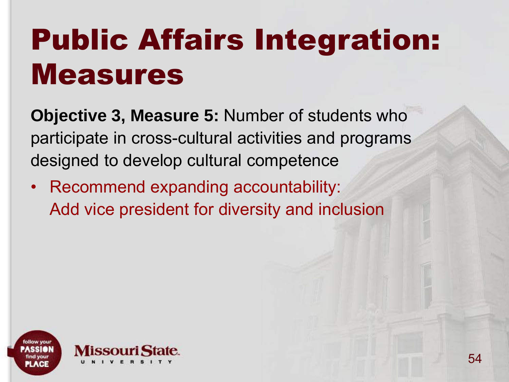#### Public Affairs Integration: Measures

**Objective 3, Measure 5:** Number of students who participate in cross-cultural activities and programs designed to develop cultural competence

• Recommend expanding accountability: Add vice president for diversity and inclusion

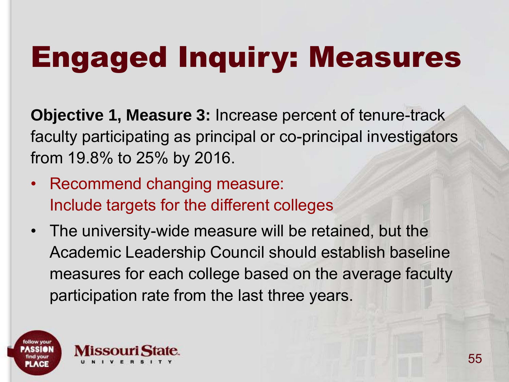#### Engaged Inquiry: Measures

**Objective 1, Measure 3:** Increase percent of tenure-track faculty participating as principal or co-principal investigators from 19.8% to 25% by 2016.

- Recommend changing measure: Include targets for the different colleges
- The university-wide measure will be retained, but the Academic Leadership Council should establish baseline measures for each college based on the average faculty participation rate from the last three years.

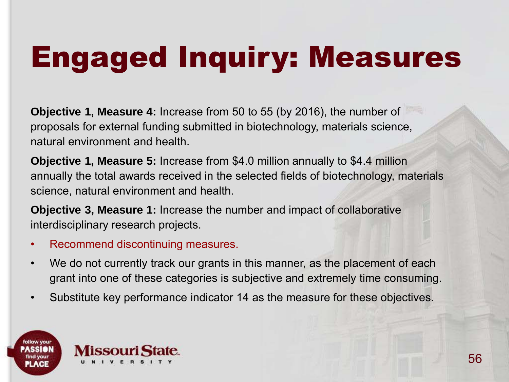## Engaged Inquiry: Measures

**Objective 1, Measure 4:** Increase from 50 to 55 (by 2016), the number of proposals for external funding submitted in biotechnology, materials science, natural environment and health.

**Objective 1, Measure 5:** Increase from \$4.0 million annually to \$4.4 million annually the total awards received in the selected fields of biotechnology, materials science, natural environment and health.

**Objective 3, Measure 1:** Increase the number and impact of collaborative interdisciplinary research projects.

- Recommend discontinuing measures.
- We do not currently track our grants in this manner, as the placement of each grant into one of these categories is subjective and extremely time consuming.
- Substitute key performance indicator 14 as the measure for these objectives.

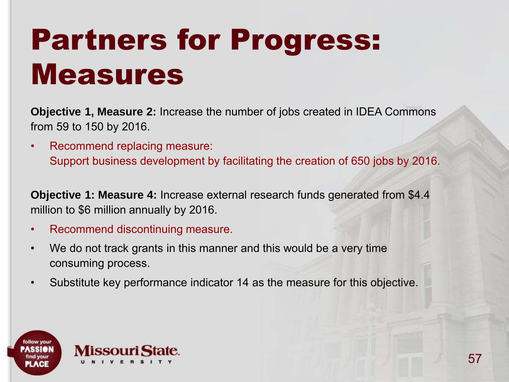#### Partners for Progress: Measures

**Objective 1, Measure 2:** Increase the number of jobs created in IDEA Commons from 59 to 150 by 2016.

• Recommend replacing measure: Support business development by facilitating the creation of 650 jobs by 2016.

**Objective 1: Measure 4:** Increase external research funds generated from \$4.4 million to \$6 million annually by 2016.

- Recommend discontinuing measure.
- We do not track grants in this manner and this would be a very time consuming process.
- Substitute key performance indicator 14 as the measure for this objective.

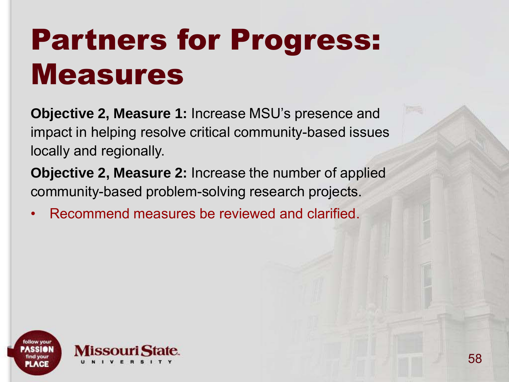#### Partners for Progress: Measures

**Objective 2, Measure 1:** Increase MSU's presence and impact in helping resolve critical community-based issues locally and regionally.

**Objective 2, Measure 2:** Increase the number of applied community-based problem-solving research projects.

• Recommend measures be reviewed and clarified.

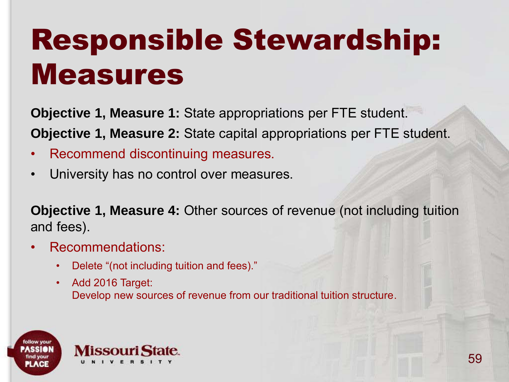**Objective 1, Measure 1:** State appropriations per FTE student. **Objective 1, Measure 2:** State capital appropriations per FTE student.

- Recommend discontinuing measures.
- University has no control over measures.

**Objective 1, Measure 4:** Other sources of revenue (not including tuition and fees).

- Recommendations:
	- Delete "(not including tuition and fees)."
	- Add 2016 Target: Develop new sources of revenue from our traditional tuition structure.

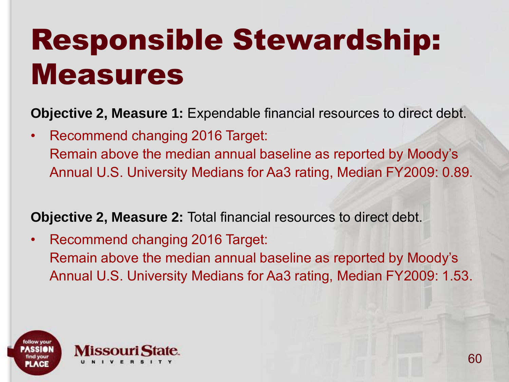**Objective 2, Measure 1:** Expendable financial resources to direct debt.

• Recommend changing 2016 Target: Remain above the median annual baseline as reported by Moody's Annual U.S. University Medians for Aa3 rating, Median FY2009: 0.89.

**Objective 2, Measure 2:** Total financial resources to direct debt.

• Recommend changing 2016 Target: Remain above the median annual baseline as reported by Moody's Annual U.S. University Medians for Aa3 rating, Median FY2009: 1.53.

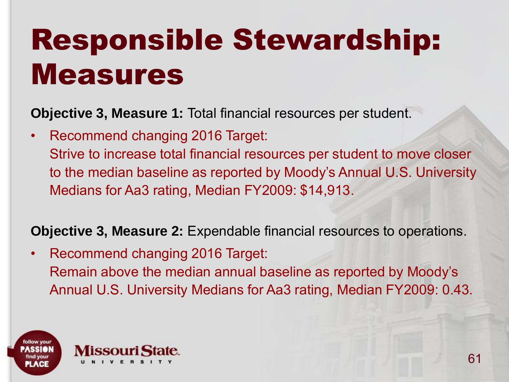**Objective 3, Measure 1:** Total financial resources per student.

• Recommend changing 2016 Target: Strive to increase total financial resources per student to move closer to the median baseline as reported by Moody's Annual U.S. University Medians for Aa3 rating, Median FY2009: \$14,913.

**Objective 3, Measure 2:** Expendable financial resources to operations.

• Recommend changing 2016 Target: Remain above the median annual baseline as reported by Moody's Annual U.S. University Medians for Aa3 rating, Median FY2009: 0.43.

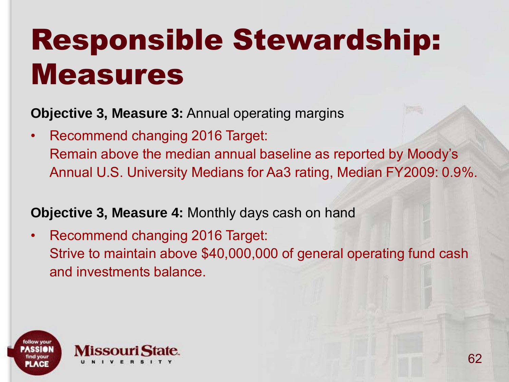**Objective 3, Measure 3:** Annual operating margins

• Recommend changing 2016 Target: Remain above the median annual baseline as reported by Moody's Annual U.S. University Medians for Aa3 rating, Median FY2009: 0.9%.

#### **Objective 3, Measure 4:** Monthly days cash on hand

• Recommend changing 2016 Target: Strive to maintain above \$40,000,000 of general operating fund cash and investments balance.

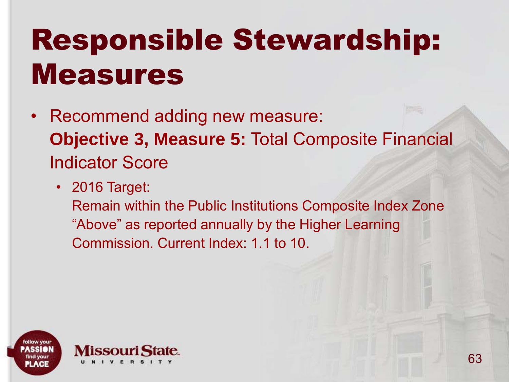- Recommend adding new measure: **Objective 3, Measure 5:** Total Composite Financial Indicator Score
	- 2016 Target:

Remain within the Public Institutions Composite Index Zone "Above" as reported annually by the Higher Learning Commission. Current Index: 1.1 to 10.

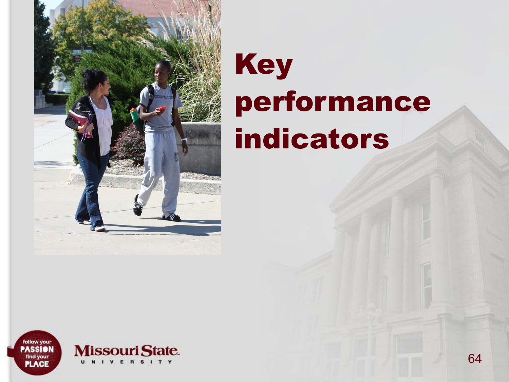

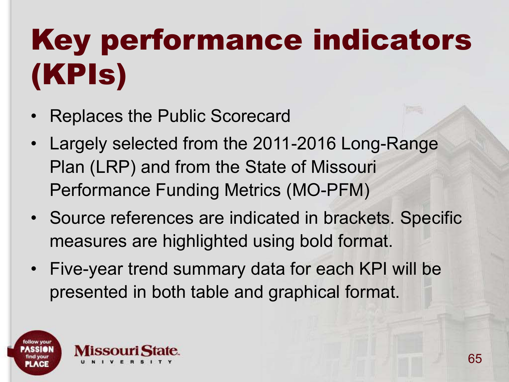# Key performance indicators (KPIs)

- Replaces the Public Scorecard
- Largely selected from the 2011-2016 Long-Range Plan (LRP) and from the State of Missouri Performance Funding Metrics (MO-PFM)
- Source references are indicated in brackets. Specific measures are highlighted using bold format.
- Five-year trend summary data for each KPI will be presented in both table and graphical format.

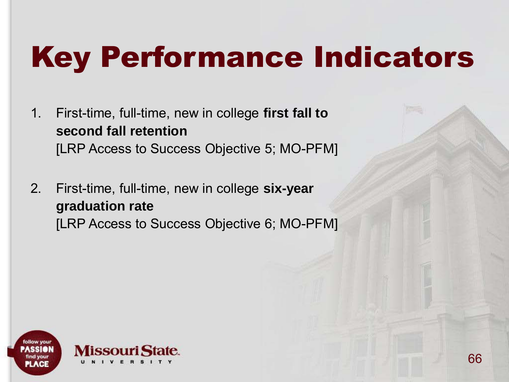- 1. First-time, full-time, new in college **first fall to second fall retention**  [LRP Access to Success Objective 5; MO-PFM]
- 2. First-time, full-time, new in college **six-year graduation rate**  [LRP Access to Success Objective 6; MO-PFM]

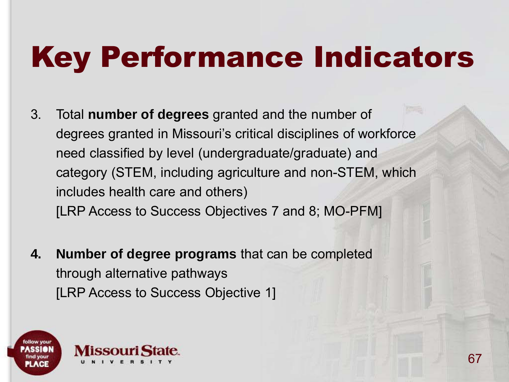- 3. Total **number of degrees** granted and the number of degrees granted in Missouri's critical disciplines of workforce need classified by level (undergraduate/graduate) and category (STEM, including agriculture and non-STEM, which includes health care and others) [LRP Access to Success Objectives 7 and 8; MO-PFM]
- **4. Number of degree programs** that can be completed through alternative pathways [LRP Access to Success Objective 1]

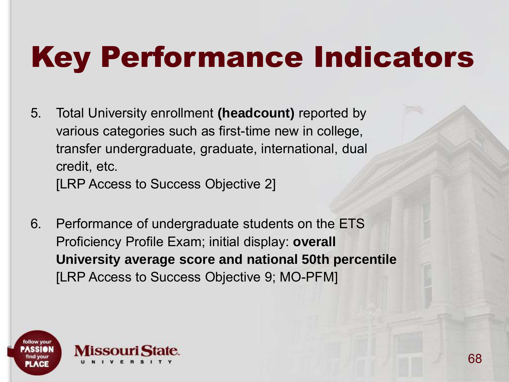5. Total University enrollment **(headcount)** reported by various categories such as first-time new in college, transfer undergraduate, graduate, international, dual credit, etc.

[LRP Access to Success Objective 2]

6. Performance of undergraduate students on the ETS Proficiency Profile Exam; initial display: **overall University average score and national 50th percentile**  [LRP Access to Success Objective 9; MO-PFM]

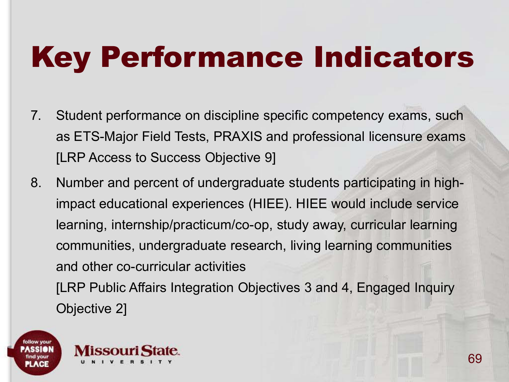- 7. Student performance on discipline specific competency exams, such as ETS-Major Field Tests, PRAXIS and professional licensure exams [LRP Access to Success Objective 9]
- 8. Number and percent of undergraduate students participating in highimpact educational experiences (HIEE). HIEE would include service learning, internship/practicum/co-op, study away, curricular learning communities, undergraduate research, living learning communities and other co-curricular activities [LRP Public Affairs Integration Objectives 3 and 4, Engaged Inquiry

Objective 2]



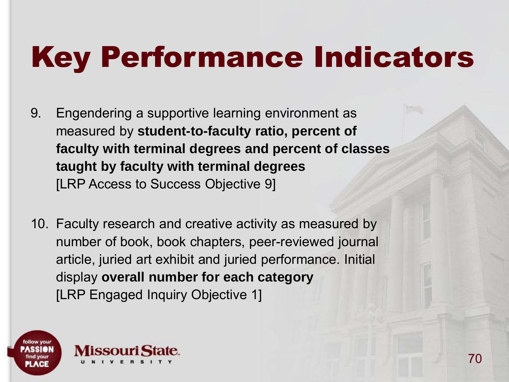- 9. Engendering a supportive learning environment as measured by **student-to-faculty ratio, percent of faculty with terminal degrees and percent of classes taught by faculty with terminal degrees**  [LRP Access to Success Objective 9]
- 10. Faculty research and creative activity as measured by number of book, book chapters, peer-reviewed journal article, juried art exhibit and juried performance. Initial display **overall number for each category** [LRP Engaged Inquiry Objective 1]

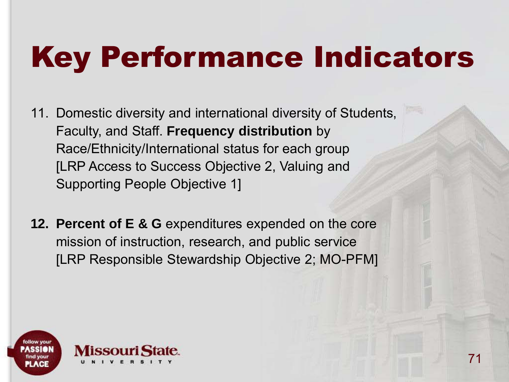- 11. Domestic diversity and international diversity of Students, Faculty, and Staff. **Frequency distribution** by Race/Ethnicity/International status for each group [LRP Access to Success Objective 2, Valuing and Supporting People Objective 1]
- **12. Percent of E & G** expenditures expended on the core mission of instruction, research, and public service [LRP Responsible Stewardship Objective 2; MO-PFM]

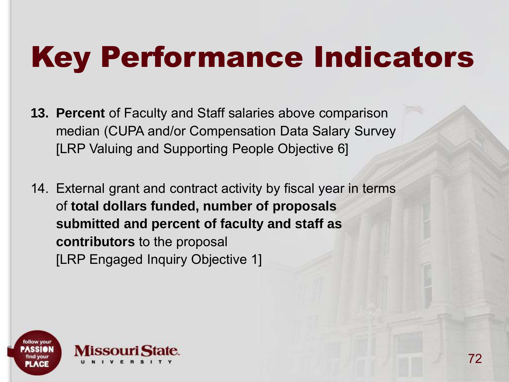- **13. Percent** of Faculty and Staff salaries above comparison median (CUPA and/or Compensation Data Salary Survey [LRP Valuing and Supporting People Objective 6]
- 14. External grant and contract activity by fiscal year in terms of **total dollars funded, number of proposals submitted and percent of faculty and staff as contributors** to the proposal [LRP Engaged Inquiry Objective 1]

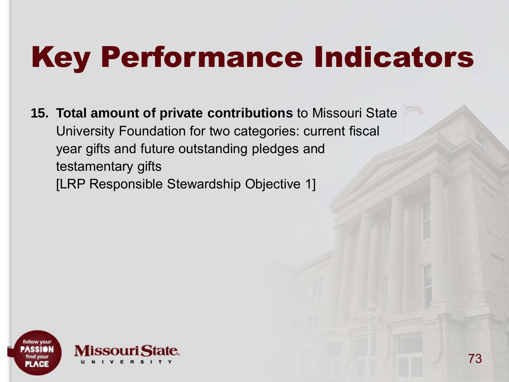## Key Performance Indicators

**15. Total amount of private contributions** to Missouri State University Foundation for two categories: current fiscal year gifts and future outstanding pledges and testamentary gifts [LRP Responsible Stewardship Objective 1]

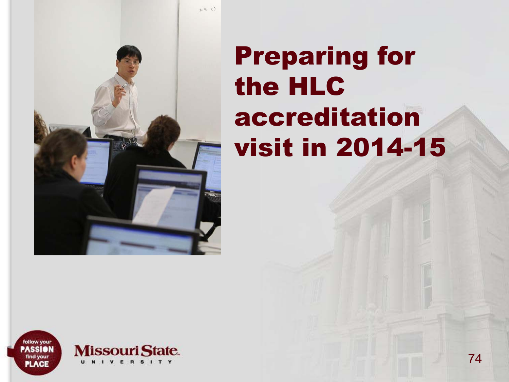

## Preparing for the HLC accreditation visit in 2014-15

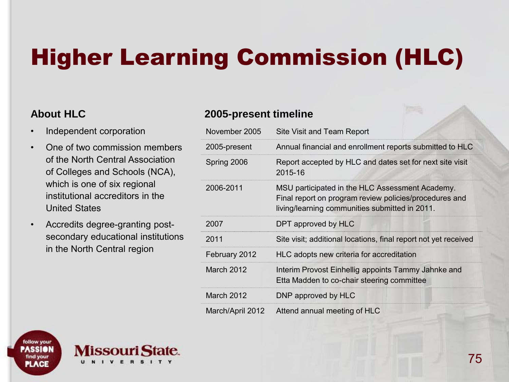### Higher Learning Commission (HLC)

#### **About HLC**

- Independent corporation
- One of two commission members of the North Central Association of Colleges and Schools (NCA), which is one of six regional institutional accreditors in the United States
- Accredits degree-granting postsecondary educational institutions in the North Central region

V F R S I

#### **2005-present timeline**

| November 2005    | Site Visit and Team Report                                                                                                                                  |
|------------------|-------------------------------------------------------------------------------------------------------------------------------------------------------------|
| 2005-present     | Annual financial and enrollment reports submitted to HLC                                                                                                    |
| Spring 2006      | Report accepted by HLC and dates set for next site visit<br>2015-16                                                                                         |
| 2006-2011        | MSU participated in the HLC Assessment Academy.<br>Final report on program review policies/procedures and<br>living/learning communities submitted in 2011. |
| 2007             | DPT approved by HLC                                                                                                                                         |
| 2011             | Site visit; additional locations, final report not yet received                                                                                             |
| February 2012    | HLC adopts new criteria for accreditation                                                                                                                   |
| March 2012       | Interim Provost Einhellig appoints Tammy Jahnke and<br>Etta Madden to co-chair steering committee                                                           |
| March 2012       | DNP approved by HLC                                                                                                                                         |
| March/April 2012 | Attend annual meeting of HLC                                                                                                                                |

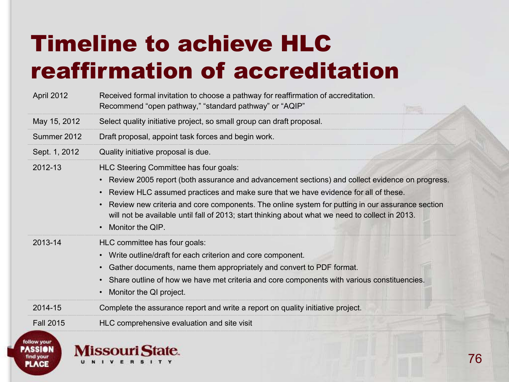### Timeline to achieve HLC reaffirmation of accreditation

| April 2012       | Received formal invitation to choose a pathway for reaffirmation of accreditation.<br>Recommend "open pathway," "standard pathway" or "AQIP"                                                                                                                                                                                                                                                                                                                            |  |
|------------------|-------------------------------------------------------------------------------------------------------------------------------------------------------------------------------------------------------------------------------------------------------------------------------------------------------------------------------------------------------------------------------------------------------------------------------------------------------------------------|--|
| May 15, 2012     | Select quality initiative project, so small group can draft proposal.                                                                                                                                                                                                                                                                                                                                                                                                   |  |
| Summer 2012      | Draft proposal, appoint task forces and begin work.                                                                                                                                                                                                                                                                                                                                                                                                                     |  |
| Sept. 1, 2012    | Quality initiative proposal is due.                                                                                                                                                                                                                                                                                                                                                                                                                                     |  |
| 2012-13          | HLC Steering Committee has four goals:<br>• Review 2005 report (both assurance and advancement sections) and collect evidence on progress.<br>Review HLC assumed practices and make sure that we have evidence for all of these.<br>$\bullet$<br>Review new criteria and core components. The online system for putting in our assurance section<br>will not be available until fall of 2013; start thinking about what we need to collect in 2013.<br>Monitor the QIP. |  |
| 2013-14          | HLC committee has four goals:<br>Write outline/draft for each criterion and core component.<br>$\bullet$<br>Gather documents, name them appropriately and convert to PDF format.<br>• Share outline of how we have met criteria and core components with various constituencies.<br>Monitor the QI project.                                                                                                                                                             |  |
| 2014-15          | Complete the assurance report and write a report on quality initiative project.                                                                                                                                                                                                                                                                                                                                                                                         |  |
| <b>Fall 2015</b> | HLC comprehensive evaluation and site visit                                                                                                                                                                                                                                                                                                                                                                                                                             |  |



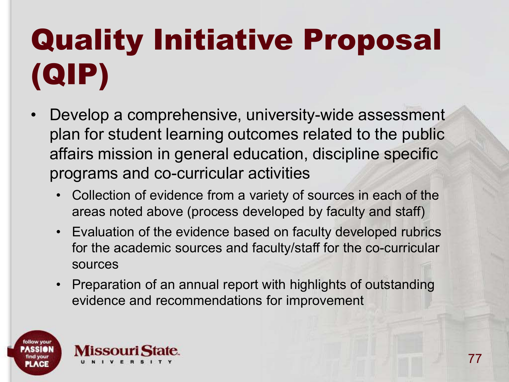## Quality Initiative Proposal (QIP)

- Develop a comprehensive, university-wide assessment plan for student learning outcomes related to the public affairs mission in general education, discipline specific programs and co-curricular activities
	- Collection of evidence from a variety of sources in each of the areas noted above (process developed by faculty and staff)
	- Evaluation of the evidence based on faculty developed rubrics for the academic sources and faculty/staff for the co-curricular sources
	- Preparation of an annual report with highlights of outstanding evidence and recommendations for improvement